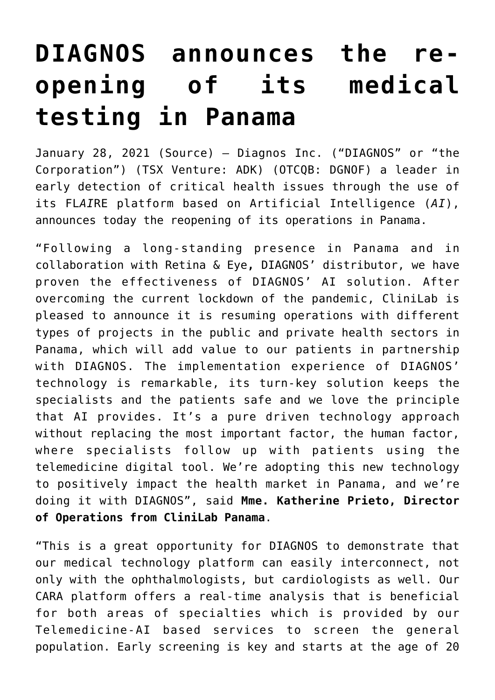## **[DIAGNOS announces the re](https://investorintel.com/markets/biotech-healthcare/biotech-news/diagnos-announces-the-re-opening-of-its-medical-testing-in-panama/)[opening of its medical](https://investorintel.com/markets/biotech-healthcare/biotech-news/diagnos-announces-the-re-opening-of-its-medical-testing-in-panama/) [testing in Panama](https://investorintel.com/markets/biotech-healthcare/biotech-news/diagnos-announces-the-re-opening-of-its-medical-testing-in-panama/)**

January 28, 2021 ([Source\)](http://www.globenewswire.com/news-release/2021/01/28/2165983/0/en/DIAGNOS-announces-the-re-opening-of-its-medical-testing-in-Panama.html) — Diagnos Inc. ("DIAGNOS" or "the Corporation") (TSX Venture: ADK) (OTCQB: DGNOF) a leader in early detection of critical health issues through the use of its FL*AI*RE platform based on Artificial Intelligence (*AI*), announces today the reopening of its operations in Panama.

"Following a long-standing presence in Panama and in collaboration with Retina & Eye**,** DIAGNOS' distributor, we have proven the effectiveness of DIAGNOS' AI solution. After overcoming the current lockdown of the pandemic, CliniLab is pleased to announce it is resuming operations with different types of projects in the public and private health sectors in Panama, which will add value to our patients in partnership with DIAGNOS. The implementation experience of DIAGNOS' technology is remarkable, its turn-key solution keeps the specialists and the patients safe and we love the principle that AI provides. It's a pure driven technology approach without replacing the most important factor, the human factor, where specialists follow up with patients using the telemedicine digital tool. We're adopting this new technology to positively impact the health market in Panama, and we're doing it with DIAGNOS", said **Mme. Katherine Prieto, Director of Operations from CliniLab Panama**.

"This is a great opportunity for DIAGNOS to demonstrate that our medical technology platform can easily interconnect, not only with the ophthalmologists, but cardiologists as well. Our CARA platform offers a real-time analysis that is beneficial for both areas of specialties which is provided by our Telemedicine-AI based services to screen the general population. Early screening is key and starts at the age of 20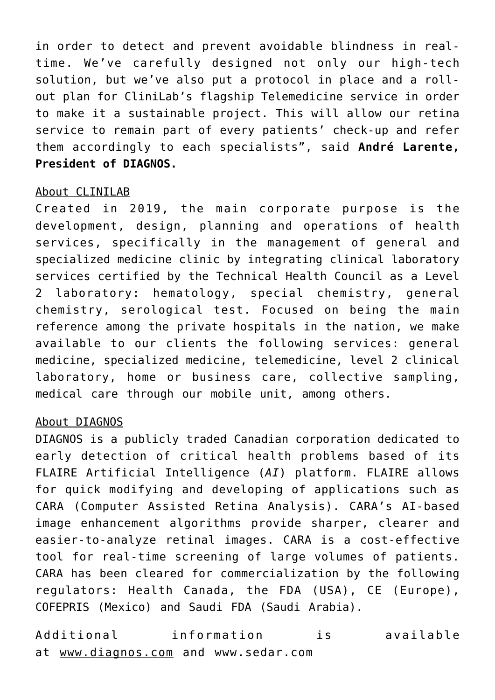in order to detect and prevent avoidable blindness in realtime. We've carefully designed not only our high-tech solution, but we've also put a protocol in place and a rollout plan for CliniLab's flagship Telemedicine service in order to make it a sustainable project. This will allow our retina service to remain part of every patients' check-up and refer them accordingly to each specialists", said **André Larente, President of DIAGNOS.**

## About CLINILAB

Created in 2019, the main corporate purpose is the development, design, planning and operations of health services, specifically in the management of general and specialized medicine clinic by integrating clinical laboratory services certified by the Technical Health Council as a Level 2 laboratory: hematology, special chemistry, general chemistry, serological test. Focused on being the main reference among the private hospitals in the nation, we make available to our clients the following services: general medicine, specialized medicine, telemedicine, level 2 clinical laboratory, home or business care, collective sampling, medical care through our mobile unit, among others.

## About DIAGNOS

DIAGNOS is a publicly traded Canadian corporation dedicated to early detection of critical health problems based of its FLAIRE Artificial Intelligence (*AI*) platform. FLAIRE allows for quick modifying and developing of applications such as CARA (Computer Assisted Retina Analysis). CARA's AI-based image enhancement algorithms provide sharper, clearer and easier-to-analyze retinal images. CARA is a cost-effective tool for real-time screening of large volumes of patients. CARA has been cleared for commercialization by the following regulators: Health Canada, the FDA (USA), CE (Europe), COFEPRIS (Mexico) and Saudi FDA (Saudi Arabia).

Additional information is available at [www.diagnos.com](https://www.globenewswire.com/Tracker?data=6ZGzNZsGujiIUD_7Cq4KX2iYgILrtIy-dQEEp5inS6LqmvODx_3JmavmNwMR8GpnTaNaxCFYsYDvsh5BVuwdtw==) and [www.sedar.com](https://www.globenewswire.com/Tracker?data=KLhVmYaFQ6WCX3RYjp3qttepvBo5Z8yHXwRClXWOP1NNXRw7uRFdw8tuHE9wuE9kLCBGDUT0I6S8n33XDBPa2g==)